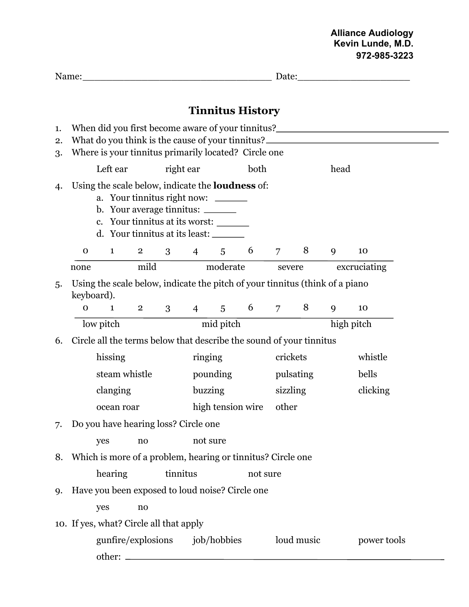## **Alliance Audiology Kevin Lunde, M.D. 972-985-3223**

| Name:          |                                                                                                                                                                                                                               |              |                                                                                                                                                                                                                |          |                |             |                         | Date:          |            |      |              |
|----------------|-------------------------------------------------------------------------------------------------------------------------------------------------------------------------------------------------------------------------------|--------------|----------------------------------------------------------------------------------------------------------------------------------------------------------------------------------------------------------------|----------|----------------|-------------|-------------------------|----------------|------------|------|--------------|
|                |                                                                                                                                                                                                                               |              |                                                                                                                                                                                                                |          |                |             | <b>Tinnitus History</b> |                |            |      |              |
| 1.<br>2.<br>3. | When did you first become aware of your tinnitus?________________________________<br>What do you think is the cause of your tinnitus?________________________________<br>Where is your tinnitus primarily located? Circle one |              |                                                                                                                                                                                                                |          |                |             |                         |                |            |      |              |
|                |                                                                                                                                                                                                                               | Left ear     |                                                                                                                                                                                                                |          | right ear      |             | both                    |                |            | head |              |
| 4.             |                                                                                                                                                                                                                               |              | Using the scale below, indicate the <b>loudness</b> of:<br>a. Your tinnitus right now: ______<br>b. Your average tinnitus: _______<br>c. Your tinnitus at its worst:<br>d. Your tinnitus at its least: _______ |          |                |             |                         |                |            |      |              |
|                | $\mathbf 0$                                                                                                                                                                                                                   | $\mathbf{1}$ | $2 \qquad \qquad$                                                                                                                                                                                              | 3        | $\overline{4}$ | $5^{\circ}$ | 6                       | $\overline{7}$ | 8          | 9    | 10           |
|                | none                                                                                                                                                                                                                          |              | mild                                                                                                                                                                                                           |          |                | moderate    |                         | severe         |            |      | excruciating |
| 5.             | Using the scale below, indicate the pitch of your tinnitus (think of a piano<br>keyboard).                                                                                                                                    |              |                                                                                                                                                                                                                |          |                |             |                         |                |            |      |              |
|                | $\mathbf{O}$                                                                                                                                                                                                                  | $\mathbf{1}$ | $\overline{2}$                                                                                                                                                                                                 | 3        | $\overline{4}$ | 5           |                         | 6 7 8          |            | 9    | 10           |
|                |                                                                                                                                                                                                                               | low pitch    |                                                                                                                                                                                                                |          |                | mid pitch   |                         |                |            |      | high pitch   |
| 6.             | Circle all the terms below that describe the sound of your tinnitus                                                                                                                                                           |              |                                                                                                                                                                                                                |          |                |             |                         |                |            |      |              |
|                | hissing                                                                                                                                                                                                                       |              |                                                                                                                                                                                                                |          | ringing        |             |                         |                | crickets   |      | whistle      |
|                | steam whistle                                                                                                                                                                                                                 |              |                                                                                                                                                                                                                | pounding |                |             |                         | pulsating      |            |      | bells        |
|                | clanging                                                                                                                                                                                                                      |              |                                                                                                                                                                                                                |          | buzzing        |             |                         |                | sizzling   |      | clicking     |
|                |                                                                                                                                                                                                                               | ocean roar   |                                                                                                                                                                                                                |          |                |             | high tension wire       | other          |            |      |              |
| 7.             | Do you have hearing loss? Circle one                                                                                                                                                                                          |              |                                                                                                                                                                                                                |          |                |             |                         |                |            |      |              |
|                |                                                                                                                                                                                                                               | yes          | no                                                                                                                                                                                                             |          | not sure       |             |                         |                |            |      |              |
| 8.             |                                                                                                                                                                                                                               |              | Which is more of a problem, hearing or tinnitus? Circle one                                                                                                                                                    |          |                |             |                         |                |            |      |              |
|                |                                                                                                                                                                                                                               | hearing      |                                                                                                                                                                                                                |          | tinnitus       |             | not sure                |                |            |      |              |
| 9.             | Have you been exposed to loud noise? Circle one                                                                                                                                                                               |              |                                                                                                                                                                                                                |          |                |             |                         |                |            |      |              |
|                |                                                                                                                                                                                                                               | yes          | no                                                                                                                                                                                                             |          |                |             |                         |                |            |      |              |
|                |                                                                                                                                                                                                                               |              | 10. If yes, what? Circle all that apply                                                                                                                                                                        |          |                |             |                         |                |            |      |              |
|                |                                                                                                                                                                                                                               |              | gunfire/explosions                                                                                                                                                                                             |          |                | job/hobbies |                         |                | loud music |      | power tools  |
|                |                                                                                                                                                                                                                               | other: -     |                                                                                                                                                                                                                |          |                |             |                         |                |            |      |              |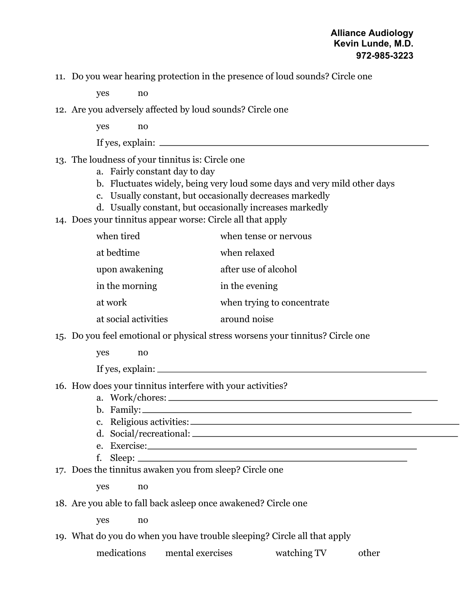## **Alliance Audiology Kevin Lunde, M.D. 972-985-3223**

11. Do you wear hearing protection in the presence of loud sounds? Circle one

yes no

12. Are you adversely affected by loud sounds? Circle one

yes no

If yes, explain:

## 13. The loudness of your tinnitus is: Circle one

- a. Fairly constant day to day
- b. Fluctuates widely, being very loud some days and very mild other days
- c. Usually constant, but occasionally decreases markedly
- d. Usually constant, but occasionally increases markedly
- 14. Does your tinnitus appear worse: Circle all that apply

| when tired           | when tense or nervous      |
|----------------------|----------------------------|
| at bedtime           | when relaxed               |
| upon awakening       | after use of alcohol       |
| in the morning       | in the evening             |
| at work              | when trying to concentrate |
| at social activities | around noise               |

15. Do you feel emotional or physical stress worsens your tinnitus? Circle one

yes no

If yes, explain:

16. How does your tinnitus interfere with your activities?

- a. Work/chores:
- b. Family:
- c. Religious activities:
- d. Social/recreational:
- e. Exercise:
- f. Sleep:
- 17. Does the tinnitus awaken you from sleep? Circle one

yes no

18. Are you able to fall back asleep once awakened? Circle one

yes no

19. What do you do when you have trouble sleeping? Circle all that apply

medications mental exercises watching TV other